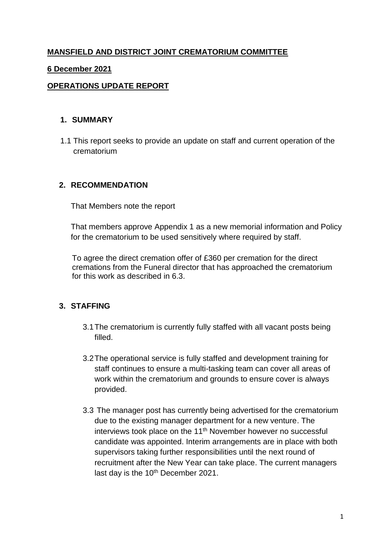# **MANSFIELD AND DISTRICT JOINT CREMATORIUM COMMITTEE**

#### **6 December 2021**

### **OPERATIONS UPDATE REPORT**

#### **1. SUMMARY**

1.1 This report seeks to provide an update on staff and current operation of the crematorium

### **2. RECOMMENDATION**

That Members note the report

That members approve Appendix 1 as a new memorial information and Policy for the crematorium to be used sensitively where required by staff.

To agree the direct cremation offer of £360 per cremation for the direct cremations from the Funeral director that has approached the crematorium for this work as described in 6.3.

#### **3. STAFFING**

- 3.1The crematorium is currently fully staffed with all vacant posts being filled.
- 3.2The operational service is fully staffed and development training for staff continues to ensure a multi-tasking team can cover all areas of work within the crematorium and grounds to ensure cover is always provided.
- 3.3 The manager post has currently being advertised for the crematorium due to the existing manager department for a new venture. The interviews took place on the 11<sup>th</sup> November however no successful candidate was appointed. Interim arrangements are in place with both supervisors taking further responsibilities until the next round of recruitment after the New Year can take place. The current managers last day is the 10<sup>th</sup> December 2021.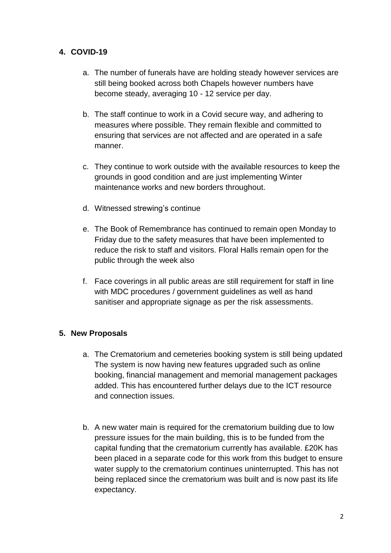# **4. COVID-19**

- a. The number of funerals have are holding steady however services are still being booked across both Chapels however numbers have become steady, averaging 10 - 12 service per day.
- b. The staff continue to work in a Covid secure way, and adhering to measures where possible. They remain flexible and committed to ensuring that services are not affected and are operated in a safe manner.
- c. They continue to work outside with the available resources to keep the grounds in good condition and are just implementing Winter maintenance works and new borders throughout.
- d. Witnessed strewing's continue
- e. The Book of Remembrance has continued to remain open Monday to Friday due to the safety measures that have been implemented to reduce the risk to staff and visitors. Floral Halls remain open for the public through the week also
- f. Face coverings in all public areas are still requirement for staff in line with MDC procedures / government guidelines as well as hand sanitiser and appropriate signage as per the risk assessments.

## **5. New Proposals**

- a. The Crematorium and cemeteries booking system is still being updated The system is now having new features upgraded such as online booking, financial management and memorial management packages added. This has encountered further delays due to the ICT resource and connection issues.
- b. A new water main is required for the crematorium building due to low pressure issues for the main building, this is to be funded from the capital funding that the crematorium currently has available. £20K has been placed in a separate code for this work from this budget to ensure water supply to the crematorium continues uninterrupted. This has not being replaced since the crematorium was built and is now past its life expectancy.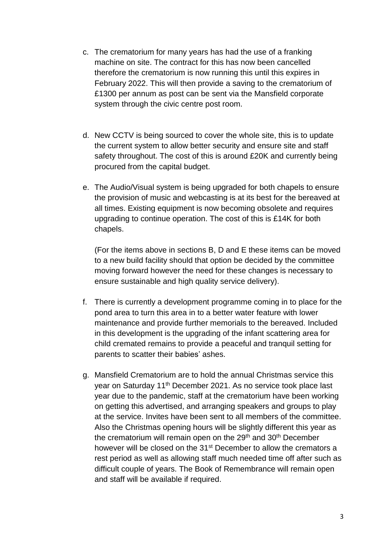- c. The crematorium for many years has had the use of a franking machine on site. The contract for this has now been cancelled therefore the crematorium is now running this until this expires in February 2022. This will then provide a saving to the crematorium of £1300 per annum as post can be sent via the Mansfield corporate system through the civic centre post room.
- d. New CCTV is being sourced to cover the whole site, this is to update the current system to allow better security and ensure site and staff safety throughout. The cost of this is around £20K and currently being procured from the capital budget.
- e. The Audio/Visual system is being upgraded for both chapels to ensure the provision of music and webcasting is at its best for the bereaved at all times. Existing equipment is now becoming obsolete and requires upgrading to continue operation. The cost of this is £14K for both chapels.

(For the items above in sections B, D and E these items can be moved to a new build facility should that option be decided by the committee moving forward however the need for these changes is necessary to ensure sustainable and high quality service delivery).

- f. There is currently a development programme coming in to place for the pond area to turn this area in to a better water feature with lower maintenance and provide further memorials to the bereaved. Included in this development is the upgrading of the infant scattering area for child cremated remains to provide a peaceful and tranquil setting for parents to scatter their babies' ashes.
- g. Mansfield Crematorium are to hold the annual Christmas service this year on Saturday 11th December 2021. As no service took place last year due to the pandemic, staff at the crematorium have been working on getting this advertised, and arranging speakers and groups to play at the service. Invites have been sent to all members of the committee. Also the Christmas opening hours will be slightly different this year as the crematorium will remain open on the  $29<sup>th</sup>$  and  $30<sup>th</sup>$  December however will be closed on the 31<sup>st</sup> December to allow the cremators a rest period as well as allowing staff much needed time off after such as difficult couple of years. The Book of Remembrance will remain open and staff will be available if required.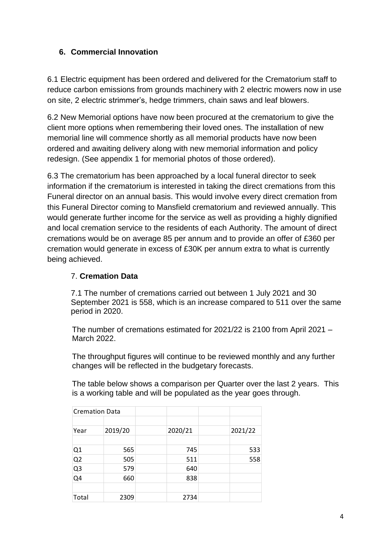# **6. Commercial Innovation**

6.1 Electric equipment has been ordered and delivered for the Crematorium staff to reduce carbon emissions from grounds machinery with 2 electric mowers now in use on site, 2 electric strimmer's, hedge trimmers, chain saws and leaf blowers.

6.2 New Memorial options have now been procured at the crematorium to give the client more options when remembering their loved ones. The installation of new memorial line will commence shortly as all memorial products have now been ordered and awaiting delivery along with new memorial information and policy redesign. (See appendix 1 for memorial photos of those ordered).

6.3 The crematorium has been approached by a local funeral director to seek information if the crematorium is interested in taking the direct cremations from this Funeral director on an annual basis. This would involve every direct cremation from this Funeral Director coming to Mansfield crematorium and reviewed annually. This would generate further income for the service as well as providing a highly dignified and local cremation service to the residents of each Authority. The amount of direct cremations would be on average 85 per annum and to provide an offer of £360 per cremation would generate in excess of £30K per annum extra to what is currently being achieved.

## 7. **Cremation Data**

7.1 The number of cremations carried out between 1 July 2021 and 30 September 2021 is 558, which is an increase compared to 511 over the same period in 2020.

The number of cremations estimated for 2021/22 is 2100 from April 2021 – March 2022.

The throughput figures will continue to be reviewed monthly and any further changes will be reflected in the budgetary forecasts.

The table below shows a comparison per Quarter over the last 2 years. This is a working table and will be populated as the year goes through.

| <b>Cremation Data</b> |         |  |         |  |         |
|-----------------------|---------|--|---------|--|---------|
|                       |         |  |         |  |         |
| Year                  | 2019/20 |  | 2020/21 |  | 2021/22 |
|                       |         |  |         |  |         |
| Q1                    | 565     |  | 745     |  | 533     |
| Q <sub>2</sub>        | 505     |  | 511     |  | 558     |
| Q <sub>3</sub>        | 579     |  | 640     |  |         |
| Q <sub>4</sub>        | 660     |  | 838     |  |         |
|                       |         |  |         |  |         |
| Total                 | 2309    |  | 2734    |  |         |